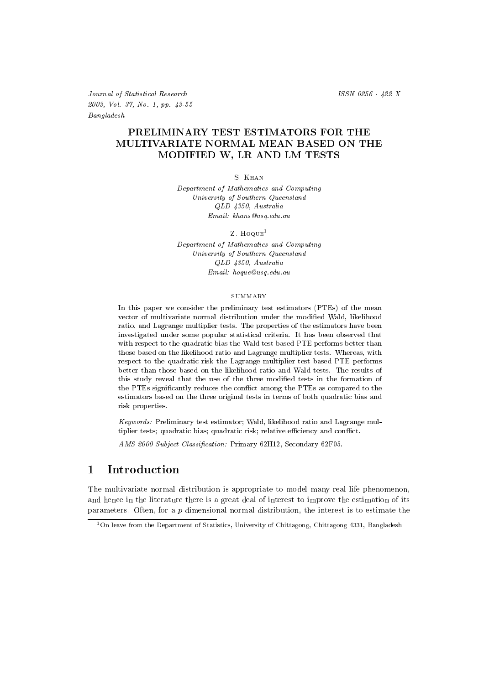Journal of Statistical Research ISSN 0256 - 422 X 2003, Vol. 37, No. 1, pp. 43-55 Bangladesh

# PRELIMINARY TEST ESTIMATORS FOR THE MULTIVARIATE NORMAL MEAN BASED ON THE MODIFIED W, LR AND LM TESTS

S. Khan

Department of Mathematics and Computing University of Southern Queensland QLD 4350, Australia Email: khans@usq.edu.au

Z.  $H\text{o}$ <sub>QUE</sub><sup>1</sup>

Department of Mathematics and Computing University of Southern Queensland QLD 4350, Australia Email: hoque@usq.edu.au

### **SUMMARY**

In this paper we consider the preliminary test estimators (PTEs) of the mean vector of multivariate normal distribution under the modied Wald, likelihood ratio, and Lagrange multiplier tests. The properties of the estimators have been investigated under some popular statistical criteria. It has been observed that with respect to the quadratic bias the Wald test based PTE performs better than those based on the likelihood ratio and Lagrange multiplier tests. Whereas, with respect to the quadratic risk the Lagrange multiplier test based PTE performs better than those based on the likelihood ratio and Wald tests. The results of this study reveal that the use of the three modied tests in the formation of the PTEs signicantly reduces the con
ict among the PTEs as compared to the estimators based on the three original tests in terms of both quadratic bias and risk properties.

Keywords: Preliminary test estimator; Wald, likelihood ratio and Lagrange multiplier tests; quadratic bias; quadratic risk; relative efficiency and conflict.

AMS 2000 Subject Classification: Primary 62H12, Secondary 62F05.

### $\mathbf{1}$ Introduction

The multivariate normal distribution is appropriate to model many real life phenomenon, and hence in the literature there is a great deal of interest to improve the estimation of its parameters. Often, for a  $p$ -dimensional normal distribution, the interest is to estimate the

<sup>&</sup>lt;sup>1</sup>On leave from the Department of Statistics, University of Chittagong, Chittagong 4331, Bangladesh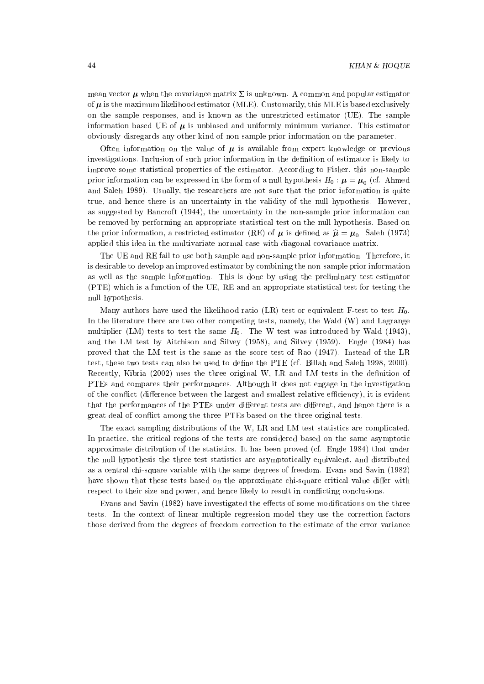mean vector  $\mu$  when the covariance matrix  $\Sigma$  is unknown. A common and popular estimator of  $\mu$  is the maximum likelihood estimator (MLE). Customarily, this MLE is based exclusively on the sample responses, and isknown as the unrestricted estimator (UE). The sample information based UE of  $\mu$  is unbiased and uniformly minimum variance. This estimator obviously disregards any other kind of non-sample prior information on the parameter.

Often information on the value of  $\mu$  is available from expert knowledge or previous investigations. Inclusion of such prior information in the definition of estimator is likely to improve some statistical properties of the estimator. According to Fisher, this non-sample prior information can be expressed in the form of a null hypothesis  $H_0: \mu = \mu_0$  (cf. Ahmed and Saleh 1989). Usually, the researchers are not sure that the prior information is quite true, and hence there is an uncertainty in the validity of the null hypothesis. However, as suggested by Bancroft (1944), the uncertainty in the non-sample prior information can be removed by performing an appropriate statistical test on the null hypothesis. Based on the prior information, a restricted estimator (RE) of  $\mu$  is defined as  $\hat{\mu} = \mu_0$ . Saleh (1973) applied this idea in the multivariate normal case with diagonal covariance matrix.

The UE and RE fail to use both sample and non-sample prior information. Therefore, it is desirable to develop an improved estimator by combining the non-sample prior information as well as the sample information. This is done by using the preliminary test estimator (PTE) which is a function of the UE, RE and an appropriate statistical test for testing the null hypothesis.

Many authors have used the likelihood ratio (LR) test or equivalent F-test to test  $H_0$ . In the literature there are two other competing tests, namely, the Wald (W) and Lagrange multiplier (LM) tests to test the same  $H_0$ . The W test was introduced by Wald (1943), and the LM test by Aitchison and Silvey (1958), and Silvey (1959). Engle (1984) has proved that the LM test is the same as the score test of Rao (1947). Instead of the LR test, these two tests can also be used to dene the PTE (cf. Billah and Saleh 1998, 2000). Recently, Kibria (2002) uses the three original W, LR and LM tests in the definition of PTEs and compares their performances. Although it does not engage in the investigation of the conflict (difference between the largest and smallest relative efficiency), it is evident that the performances of the PTEs under different tests are different, and hence there is a great deal of conflict among the three PTEs based on the three original tests.

The exact sampling distributions of the W, LR and LM test statistics are complicated. In practice, the critical regions of the tests are considered based on the same asymptotic approximate distribution of the statistics. It has been proved (cf. Engle 1984) that under the null hypothesis the three test statistics are asymptotically equivalent, and distributed as a central chi-square variable with the same degrees of freedom. Evans and Savin (1982) have shown that these tests based on the approximate chi-square critical value differ with respect to their size and power, and hence likely to result in conflicting conclusions.

Evans and Savin (1982) have investigated the effects of some modifications on the three tests. In the context of linear multiple regression model they use the correction factors those derived from the degrees of freedom correction to the estimate of the error variance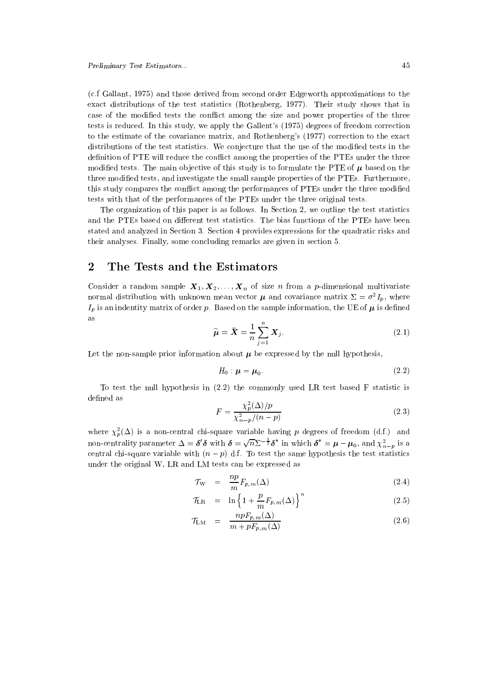(c.f Gallant, 1975) and those derived from second order Edgeworth approximations to the exact distributions of the test statistics (Rothenberg, 1977). Their study shows that in case of the modified tests the conflict among the size and power properties of the three tests is reduced. In this study, we apply the Gallent's (1975) degrees of freedom correction to the estimate of the covariance matrix, and Rothenberg's (1977) correction to the exact distributions of the test statistics. We conjecture that the use of the modified tests in the definition of PTE will reduce the conflict among the properties of the PTEs under the three modified tests. The main objective of this study is to formulate the PTE of  $\mu$  based on the three modied tests, and investigate the small sample properties of the PTEs. Furthermore, this study compares the conflict among the performances of PTEs under the three modified tests with that of the performances of the PTEs under the three original tests.

The organization of this paper is as follows. In Section 2, we outline the test statistics and the PTEs based on different test statistics. The bias functions of the PTEs have been stated and analyzed in Section 3. Section 4 provides expressions for the quadratic risks and their analyses. Finally, some concluding remarks are given in section 5.

### $\overline{2}$ 2 The Tests and the Estimators

Consider a random sample  $X_1, X_2, \ldots, X_n$  of size n from a p-dimensional multivariate normal distribution with unknown mean vector  $\mu$  and covariance matrix  $\Sigma = \sigma^2 I_p$ , where  $I_p$  is an indentity matrix of order p. Based on the sample information, the UE of  $\mu$  is defined as

$$
\widetilde{\boldsymbol{\mu}} = \bar{\boldsymbol{X}} = \frac{1}{n} \sum_{j=1}^{n} \boldsymbol{X}_{j}.
$$
\n(2.1)

Let the non-sample prior information about  $\mu$  be expressed by the null hypothesis,

$$
H_0: \mu = \mu_0. \tag{2.2}
$$

To test the null hypothesis in  $(2.2)$  the commonly used LR test based F statistic is defined as

$$
F = \frac{\chi_p^2(\Delta)/p}{\chi_{n-p}^2/(n-p)}\tag{2.3}
$$

where  $\chi_p^2(\Delta)$  is a non-central chi-square variable having p degrees of freedom (d.f.) and non-centrality parameter  $\Delta = \delta' \delta$  with  $\delta = \sqrt{n} \Sigma^{-\frac{1}{2}} \delta^*$  in which  $\delta^* = \mu - \mu_0$ , and  $\chi^2_{n-p}$  is a central chi-square variable with  $(n - p)$  d.f. To test the same hypothesis the test statistics under the original W, LR and LM tests can be expressed as

$$
\mathcal{T}_{\mathbf{W}} = \frac{np}{m} F_{p,m}(\Delta) \tag{2.4}
$$

$$
\mathcal{T}_{LR} = \ln\left\{1 + \frac{p}{m} F_{p,m}(\Delta)\right\}^{n} \tag{2.5}
$$

$$
\mathcal{T}_{\text{LM}} = \frac{npF_{p,m}(\Delta)}{m + pF_{p,m}(\Delta)} \tag{2.6}
$$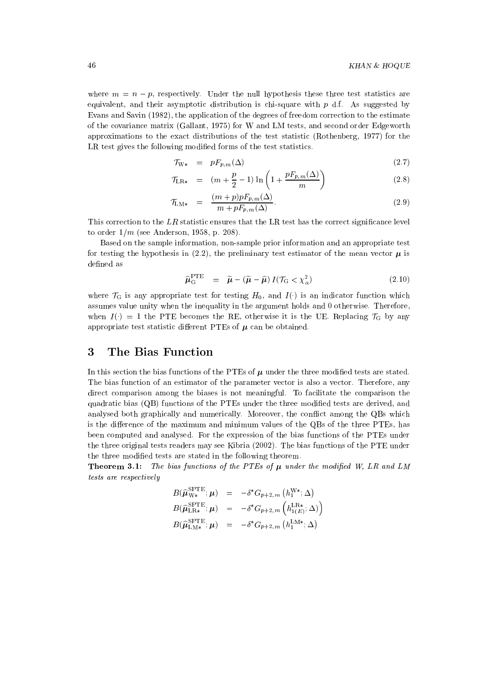where  $m = n - p$ , respectively. Under the null hypothesis these three test statistics are equivalent, and their asymptotic distribution is chi-square with  $p$  d.f. As suggested by Evans and Savin (1982), the application of the degrees of freedom correction to the estimate of the covariance matrix (Gallant, 1975) for W and LM tests, and second order Edgeworth approximations to the exact distributions of the test statistic (Rothenberg, 1977) for the LR test gives the following modified forms of the test statistics.

$$
\mathcal{T}_{W*} = pF_{p,m}(\Delta) \tag{2.7}
$$

$$
\mathcal{T}_{LR*} = (m + \frac{p}{2} - 1) \ln \left( 1 + \frac{pF_{p,m}(\Delta)}{m} \right)
$$
\n(2.8)

$$
\mathcal{T}_{\text{LM}*} = \frac{(m+p)pF_{p,m}(\Delta)}{m+pF_{p,m}(\Delta)}.
$$
\n(2.9)

This correction to the  $LR$  statistic ensures that the LR test has the correct significance level to order  $1/m$  (see Anderson, 1958, p. 208).

Based on the sample information, non-sample prior information and an appropriate test for testing the hypothesis in (2.2), the preliminary test estimator of the mean vector  $\mu$  is defined as

$$
\widehat{\boldsymbol{\mu}}_{\mathbf{G}}^{\mathrm{PTE}} = \widetilde{\boldsymbol{\mu}} - (\widetilde{\boldsymbol{\mu}} - \widehat{\boldsymbol{\mu}}) I(\mathcal{T}_{\mathbf{G}} < \chi_{\alpha}^2) \tag{2.10}
$$

where  $\mathcal{T}_G$  is any appropriate test for testing  $H_0$ , and  $I(\cdot)$  is an indicator function which assumes value unity when the inequality in the argument holds and 0 otherwise. Therefore, when  $I() = 1$  the PTE becomes the RE, otherwise it is the UE. Replacing  $\mathcal{T}_G$  by any appropriate test statistic different PTEs of  $\mu$  can be obtained.

### 3 The Bias Function

In this section the bias functions of the PTEs of  $\mu$  under the three modified tests are stated. The bias function of an estimator of the parameter vector is also a vector. Therefore, any direct comparison among the biases is not meaningful. To facilitate the comparison the quadratic bias (QB) functions of the PTEs under the three modied tests are derived, and analysed both graphically and numerically. Moreover, the conflict among the QBs which is the difference of the maximum and minimum values of the QBs of the three PTEs, has been computed and analysed. For the expression of the bias functions of the PTEs under the three original tests readers may see Kibria (2002). The bias functions of the PTE under the three modied tests are stated in the following theorem.

**Theorem 3.1:** The bias functions of the PTEs of  $\mu$  under the modified W, LR and LM tests are respectively

$$
B(\widehat{\mu}_{\text{W}*}^{\text{SPTE}}; \boldsymbol{\mu}) = -\delta^* G_{p+2,m} (h_1^{\text{W}*}; \Delta)
$$
  
\n
$$
B(\widehat{\mu}_{\text{LR}*}^{\text{SPTE}}; \boldsymbol{\mu}) = -\delta^* G_{p+2,m} (h_{1(E)}^{\text{LR}*}; \Delta)
$$
  
\n
$$
B(\widehat{\mu}_{\text{LM}*}^{\text{SPTE}}; \boldsymbol{\mu}) = -\delta^* G_{p+2,m} (h_1^{\text{LM}*}; \Delta)
$$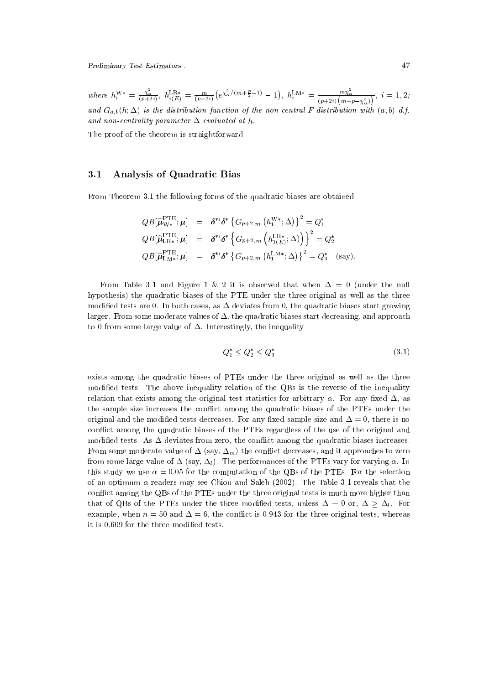Preliminary Test Estimators... 47

where  $h_i^{\mathbf{W}*} = \frac{\chi_\alpha}{(p+2i)}, h_{i(E)}^{\mathbf{L}\mathbf{R}*} = \frac{m}{(p+2i)} (e^{\chi_\alpha^2/(m+\frac{\mu}{2}-1)}-1), h_i^{\mathbf{L}\mathbf{M}*} = 1$  $h_i^{\text{LM}*} = \frac{m_{\chi_\alpha}}{(p+2i)(m+p-\chi_\alpha^2)}, i=1,2;$ and  $G_{a,b}(h;\Delta)$  is the distribution function of the non-central F-distribution with  $(a,b)$  d.f. and non-centrality parameter  $\Delta$  evaluated at h.

The proof of the theorem is straightforward.

## 3.1 Analysis of Quadratic Bias

From Theorem 3.1 the following forms of the quadratic biases are obtained.

$$
QB[\widehat{\mu}_{\text{W*}}^{\text{PTE}};\boldsymbol{\mu}] = \delta^{*}\delta^{*}\left\{G_{p+2,m}\left(h_{1}^{\text{W*}};\Delta\right)\right\}^{2} = Q_{1}^{*}
$$
  

$$
QB[\widehat{\mu}_{\text{LR*}}^{\text{PTE}};\boldsymbol{\mu}] = \delta^{*}\delta^{*}\left\{G_{p+2,m}\left(h_{1(E)}^{\text{LR*}};\Delta\right)\right\}^{2} = Q_{2}^{*}
$$
  

$$
QB[\widehat{\mu}_{\text{LM*}}^{\text{PTE}};\boldsymbol{\mu}] = \delta^{*}\delta^{*}\left\{G_{p+2,m}\left(h_{1}^{\text{LM*}};\Delta\right)\right\}^{2} = Q_{3}^{*} \quad \text{(say)}.
$$

From Table 3.1 and Figure 1 & 2 it is observed that when  $\Delta = 0$  (under the null hypothesis) the quadratic biases of the PTE under the three original as well as the three modified tests are 0. In both cases, as  $\Delta$  deviates from 0, the quadratic biases start growing larger. From some moderate values of  $\Delta$ , the quadratic biases start decreasing, and approach to 0 from some large value of  $\Delta$ . Interestingly, the inequality

$$
Q_1^* \le Q_2^* \le Q_3^* \tag{3.1}
$$

exists among the quadratic biases of PTEs under the three original as well as the three modied tests. The above inequality relation of the QBs is the reverse of the inequality relation that exists among the original test statistics for arbitrary  $\alpha$ . For any fixed  $\Delta$ , as the sample size increases the con
ict among the quadratic biases of the PTEs under the original and the modified tests decreases. For any fixed sample size and  $\Delta = 0$ , there is no con
ict among the quadratic biases of the PTEs regardless of the use of the original and modified tests. As  $\Delta$  deviates from zero, the conflict among the quadratic biases increases. From some moderate value of  $\Delta$  (say,  $\Delta_m$ ) the conflict decreases, and it approaches to zero from some large value of  $\Delta$  (say,  $\Delta_l$ ). The performances of the PTEs vary for varying  $\alpha$ . In this study we use  $\alpha = 0.05$  for the computation of the QBs of the PTEs. For the selection of an optimum  $\alpha$  readers may see Chiou and Saleh (2002). The Table 3.1 reveals that the conflict among the QBs of the PTEs under the three original tests is much more higher than that of QBs of the PTEs under the three modified tests, unless  $\Delta = 0$  or,  $\Delta > \Delta_l$ . For example, when  $n = 50$  and  $\Delta = 6$ , the conflict is 0.943 for the three original tests, whereas it is 0.609 for the three modified tests.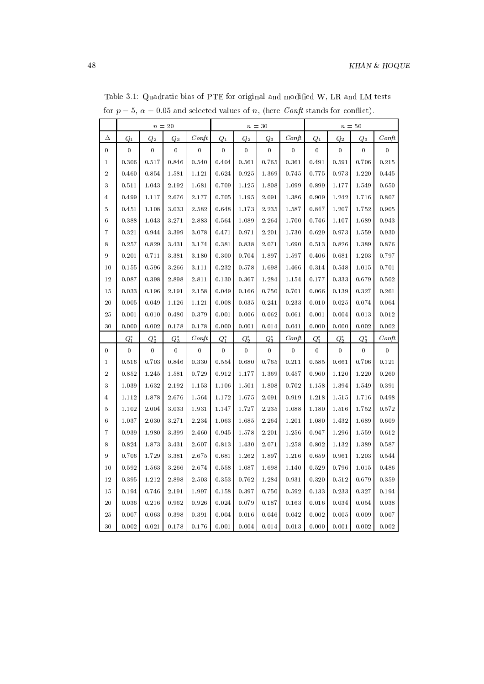|                   | $n=\sqrt{20}$      |                 |                    |                  | $n=30$             |                 |                    |                | $n=50$           |                 |                    |                  |  |
|-------------------|--------------------|-----------------|--------------------|------------------|--------------------|-----------------|--------------------|----------------|------------------|-----------------|--------------------|------------------|--|
| Δ                 | $\scriptstyle Q_1$ | $\mathcal{Q}_2$ | $\scriptstyle Q_3$ | $\mathop{Conft}$ | $\scriptstyle Q_1$ | $\mathcal{Q}_2$ | $\scriptstyle Q_3$ | $\emph{Conft}$ | $\mathcal{Q}_1$  | $\mathcal{Q}_2$ | $\scriptstyle Q_3$ | Conft            |  |
| $\bf{0}$          | $\bf{0}$           | $\overline{0}$  | $\overline{0}$     | $\bf{0}$         | $\bf{0}$           | $\overline{0}$  | $\overline{0}$     | $\bf{0}$       | $\boldsymbol{0}$ | $\overline{0}$  | $\overline{0}$     | $\mathbf{0}$     |  |
| $\mathbf{1}$      | 0.306              | 0.517           | 0.846              | 0.540            | 0.404              | 0.561           | 0.765              | 0.361          | 0.491            | 0.591           | 0.706              | 0.215            |  |
| $\,2$             | 0.460              | 0.854           | 1.581              | 1.121            | 0.624              | 0.925           | 1.369              | 0.745          | 0.775            | 0.973           | 1.220              | 0.445            |  |
| 3                 | 0.511              | 1.043           | 2.192              | 1.681            | 0.709              | 1.125           | 1.808              | 1.099          | 0.899            | 1.177           | 1.549              | 0.650            |  |
| 4                 | 0.499              | 1.117           | 2.676              | 2.177            | 0.705              | 1.195           | 2.091              | 1.386          | 0.909            | 1.242           | 1.716              | 0.807            |  |
| 5                 | 0.451              | 1.108           | 3.033              | 2.582            | 0.648              | 1.173           | 2.235              | 1.587          | 0.847            | 1.207           | 1.752              | 0.905            |  |
| $\,6$             | 0.388              | 1.043           | 3.271              | 2.883            | 0.564              | 1.089           | 2.264              | 1.700          | 0.746            | 1.107           | 1.689              | 0.943            |  |
| $\scriptstyle{7}$ | 0.321              | 0.944           | 3.399              | 3.078            | 0.471              | 0.971           | 2.201              | 1.730          | 0.629            | 0.973           | 1.559              | 0.930            |  |
| 8                 | 0.257              | 0.829           | 3.431              | 3.174            | 0.381              | 0.838           | 2.071              | 1.690          | 0.513            | 0.826           | 1.389              | 0.876            |  |
| 9                 | 0.201              | 0.711           | 3.381              | 3.180            | 0.300              | 0.704           | 1.897              | 1.597          | 0.406            | 0.681           | 1.203              | 0.797            |  |
| 10                | 0.155              | 0.596           | 3.266              | 3.111            | 0.232              | 0.578           | 1.698              | 1.466          | 0.314            | 0.548           | 1.015              | 0.701            |  |
| 12                | 0.087              | 0.398           | 2.898              | 2.811            | 0.130              | 0.367           | 1.284              | 1.154          | 0.177            | 0.333           | 0.679              | 0.502            |  |
| 15                | 0.033              | 0.196           | 2.191              | 2.158            | 0.049              | 0.166           | 0.750              | 0.701          | 0.066            | 0.139           | 0.327              | 0.261            |  |
| $^{20}$           | 0.005              | 0.049           | 1.126              | 1.121            | 0.008              | 0.035           | 0.241              | 0.233          | 0.010            | 0.025           | 0.074              | 0.064            |  |
| 25                | 0.001              | 0.010           | 0.480              | 0.379            | 0.001              | 0.006           | 0.062              | 0.061          | 0.001            | 0.004           | 0.013              | 0.012            |  |
| 30                | 0.000              | 0.002           | 0.178              | 0.178            | 0.000              | 0.001           | 0.014              | 0.041          | 0.000            | 0.000           | 0.002              | 0.002            |  |
|                   | $Q_1^*$            | $Q_{2}^{*}$     | $Q_3^*$            | $\mathop{Conft}$ | $Q_1^*$            | $Q_2^*$         | $Q_3^*$            | $\emph{Conft}$ | $Q_1^*$          | $Q_2^*$         | $Q_3^*$            | Conft            |  |
| $\bf{0}$          | 0                  | $\bf{0}$        | $\bf{0}$           | 0                | 0                  | 0               | $\bf{0}$           | 0              | 0                | 0               | 0                  | $\boldsymbol{0}$ |  |
| $\mathbf{1}$      | 0.516              | 0.703           | 0.846              | 0.330            | 0.554              | 0.680           | 0.765              | 0.211          | 0.585            | 0.661           | 0.706              | 0.121            |  |
| $\sqrt{2}$        | 0.852              | 1.245           | 1.581              | 0.729            | 0.912              | 1.177           | 1.369              | 0.457          | 0.960            | 1.120           | 1.220              | 0.260            |  |
| 3                 | 1.039              | 1.632           | 2.192              | 1.153            | 1.106              | 1.501           | 1.808              | 0.702          | 1.158            | 1.394           | 1.549              | 0.391            |  |
| $\overline{4}$    | 1.112              | 1.878           | 2.676              | 1.564            | 1.172              | 1.675           | 2.091              | 0.919          | 1.218            | 1.515           | 1.716              | 0.498            |  |
| 5                 | 1.102              | 2.004           | 3.033              | 1.931            | 1.147              | 1.727           | $2.235\,$          | 1.088          | 1.180            | 1.516           | 1.752              | 0.572            |  |
| $\,6$             | 1.037              | 2.030           | 3.271              | 2.234            | 1.063              | 1.685           | 2.264              | 1.201          | 1.080            | 1.432           | 1.689              | 0.609            |  |
| $\overline{7}$    | 0.939              | 1.980           | 3.399              | 2.460            | 0.945              | 1.578           | 2.201              | 1.256          | 0.947            | 1.296           | 1.559              | 0.612            |  |
| 8                 | 0.824              | 1.873           | 3.431              | 2.607            | 0.813              | 1.430           | 2.071              | 1.258          | 0.802            | 1.132           | 1.389              | 0.587            |  |
| 9                 | 0.706              | 1.729           | 3.381              | 2.675            | 0.681              | 1.262           | 1.897              | 1.216          | 0.659            | 0.961           | 1.203              | 0.544            |  |
| 10                | 0.592              | 1.563           | 3.266              | 2.674            | 0.558              | 1.087           | 1.698              | 1.140          | 0.529            | 0.796           | 1.015              | 0.486            |  |
| 12                | 0.395              | 1.212           | 2.898              | 2.503            | 0.353              | 0.762           | 1.284              | 0.931          | 0.320            | 0.512           | 0.679              | 0.359            |  |
| 15                | 0.194              | 0.746           | 2.191              | 1.997            | 0.158              | 0.397           | 0.750              | 0.592          | 0.133            | 0.233           | 0.327              | 0.194            |  |
| $2\sqrt{0}$       | $0.036\,$          | 0.216           | 0.962              | 0.926            | 0.024              | 0.079           | 0.187              | 0.163          | 0.016            | 0.034           | 0.054              | 0.038            |  |
| 25                | 0.007              | 0.063           | 0.398              | 0.391            | 0.004              | 0.016           | 0.046              | $\ \ 0.042$    | 0.002            | 0.005           | 0.009              | 0.007            |  |
| 30                | 0.002              | 0.021           | 0.178              | 0.176            | 0.001              | 0.004           | 0.014              | 0.013          | 0.000            | 0.001           | 0.002              | 0.002            |  |

Table 3.1: Quadratic bias of PTE for original and modied W, LR and LM tests for  $p = 5$ ,  $\alpha = 0.05$  and selected values of n, (here *Conft* stands for conflict).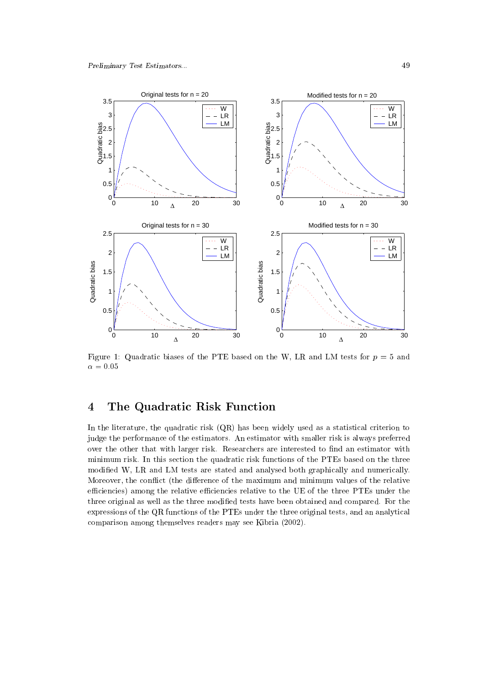

Figure 1: Quadratic biases of the PTE based on the W, LR and LM tests for  $p = 5$  and  $\alpha = 0.05$ 

### $\overline{4}$ The Quadratic Risk Function

In the literature, the quadratic risk (QR) has been widely used as a statistical criterion to judge the performance of the estimators. An estimator with smaller risk is always preferred over the other that with larger risk. Researchers are interested to find an estimator with minimum risk. In this section the quadratic risk functions of the PTEs based on the three modied W, LR and LM tests are stated and analysed both graphically and numerically. Moreover, the conflict (the difference of the maximum and minimum values of the relative efficiencies) among the relative efficiencies relative to the UE of the three PTEs under the three original as well as the three modied tests have been obtained and compared. For the expressions of the QR functions of the PTEs under the three original tests, and an analytical comparison among themselves readers may see Kibria (2002).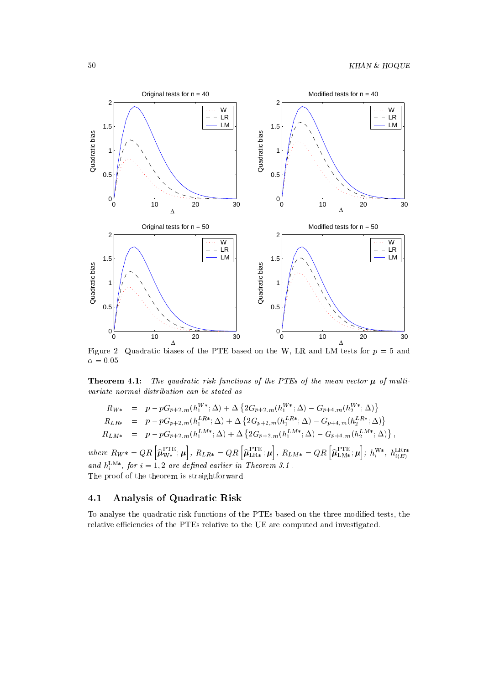

Figure 2: Quadratic biases of the PTE based on the W, LR and LM tests for  $p = 5$  and  $\alpha = 0.05$ 

**Theorem 4.1:** The quadratic risk functions of the PTEs of the mean vector  $\mu$  of multivariate normal distribution can be stated as

$$
R_{W*} = p - pG_{p+2,m}(h_1^{W*}; \Delta) + \Delta \left\{ 2G_{p+2,m}(h_1^{W*}; \Delta) - G_{p+4,m}(h_2^{W*}; \Delta) \right\}
$$
  
\n
$$
R_{LR*} = p - pG_{p+2,m}(h_1^{LR*}; \Delta) + \Delta \left\{ 2G_{p+2,m}(h_1^{LR*}; \Delta) - G_{p+4,m}(h_2^{LR*}; \Delta) \right\}
$$
  
\n
$$
R_{LM*} = p - pG_{p+2,m}(h_1^{LM*}; \Delta) + \Delta \left\{ 2G_{p+2,m}(h_1^{LM*}; \Delta) - G_{p+4,m}(h_2^{LM*}; \Delta) \right\},
$$

where  $R_{W^{*}} = QR \left[ {\widehat \mu}^{\rm PTE}_{W*} ; \boldsymbol{\mu} \right], R_{LR*} = Q$  $\left.\left.\rule{0pt}{12pt}\right\vert\right.,\ R_{LR*}=Q R \left[\widehat{\boldsymbol{\mu}}_{\text{LR}*}^{\text{PTE}};\boldsymbol{\mu}\right],\ R_{LM*}=% \widehat{\boldsymbol{\mu}}_{\text{LR}*}^{\text{PTE}}\right],\ \ \hat{\boldsymbol{\mu}}_{\text{LR}*}^{\text{PTE}}=0$  $\left[\right],\,R_{LM\,*}=Q R \left[\widehat{\boldsymbol{\mu}}_{\text{LM}\ast}^{\text{PTE}};\,\boldsymbol{\mu}\right];\,h^{\text{W}\,*}_{i},\,h^{\text{LR}}_{i(B)}$  $\big]$  ;  $h^{\rm W\ast}_i,\, h^{\rm LRr\ast}_{i(E)}$ and  $n_i^{\text{max}}$ , for  $i = 1, 2$  are defined earlier in Theorem 3.1. The proof of the theorem is straightforward.

## 4.1 Analysis of Quadratic Risk

To analyse the quadratic risk functions of the PTEs based on the three modied tests, the relative efficiencies of the PTEs relative to the UE are computed and investigated.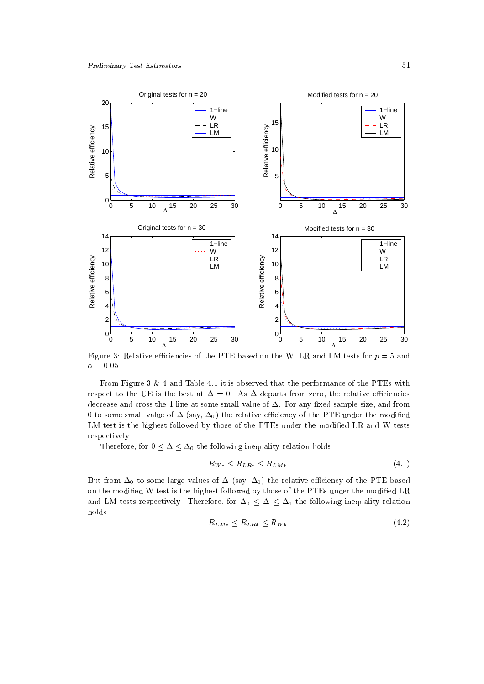

Figure 3: Relative efficiencies of the PTE based on the W, LR and LM tests for  $p = 5$  and  $\alpha = 0.05$ 

From Figure 3 & 4 and Table 4.1 it is observed that the performance of the PTEs with respect to the UE is the best at  $\Delta = 0$ . As  $\Delta$  departs from zero, the relative efficiencies decrease and cross the 1-line at some small value of  $\Delta$ . For any fixed sample size, and from 0 to some small value of  $\Delta$  (say,  $\Delta_0$ ) the relative efficiency of the PTE under the modified LM test is the highest followed by those of the PTEs under the modified LR and W tests respectively.

Therefore, for  $0 \leq \Delta \leq \Delta_0$  the following inequality relation holds

$$
R_{W*} \le R_{LR*} \le R_{LM*}.\tag{4.1}
$$

But from  $\Delta_0$  to some large values of  $\Delta$  (say,  $\Delta_1$ ) the relative efficiency of the PTE based on the modified W test is the highest followed by those of the PTEs under the modified LR and LM tests respectively. Therefore, for  $\Delta_0 \leq \Delta \leq \Delta_1$  the following inequality relation holds

$$
R_{LM*} \le R_{LR*} \le R_{W*}.\tag{4.2}
$$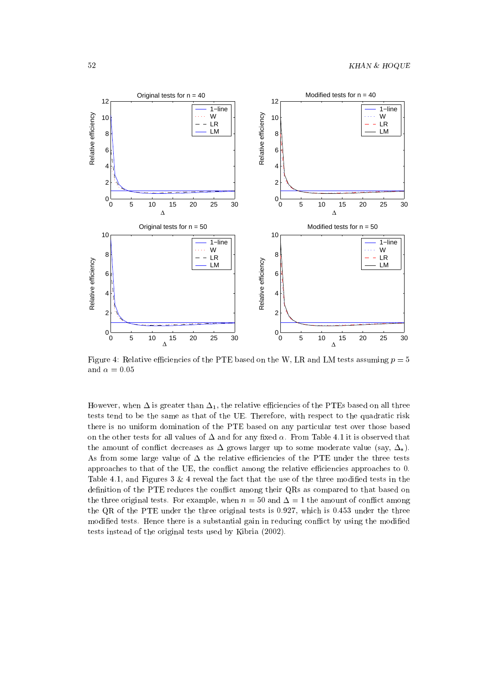

Figure 4: Relative efficiencies of the PTE based on the W, LR and LM tests assuming  $p = 5$ and  $\alpha = 0.05$ 

However, when  $\Delta$  is greater than  $\Delta_1$ , the relative efficiencies of the PTEs based on all three tests tend to be the same as that of the UE. Therefore, with respect to the quadratic risk there is no uniform domination of the PTE based on any particular test over those based on the other tests for all values of  $\Delta$  and for any fixed  $\alpha$ . From Table 4.1 it is observed that the amount of conflict decreases as  $\Delta$  grows larger up to some moderate value (say,  $\Delta_*$ ). As from some large value of  $\Delta$  the relative efficiencies of the PTE under the three tests approaches to that of the UE, the conflict among the relative efficiencies approaches to 0. Table 4.1, and Figures  $3 \& 4$  reveal the fact that the use of the three modified tests in the definition of the PTE reduces the conflict among their QRs as compared to that based on the three original tests. For example, when  $n = 50$  and  $\Delta = 1$  the amount of conflict among the QR of the PTE under the three original tests is 0:927, which is 0:453 under the three modified tests. Hence there is a substantial gain in reducing conflict by using the modified tests instead of the original tests used by Kibria (2002).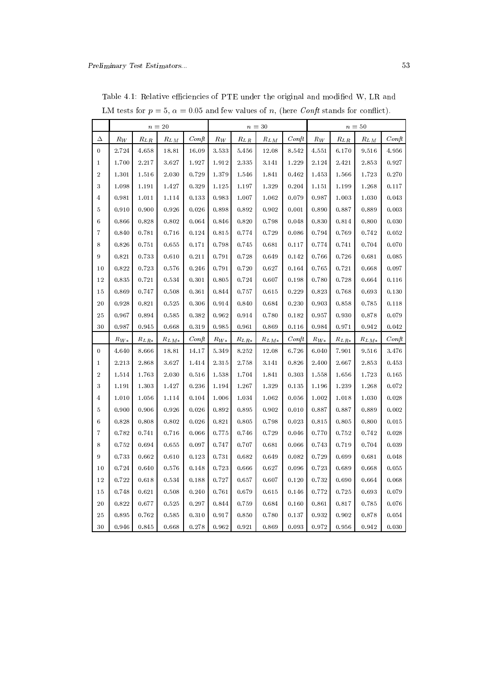|                   |          |               | $n = 20$  |       | $n=30$   |                                      |           |                            | $n=50$   |                                   |                      |       |
|-------------------|----------|---------------|-----------|-------|----------|--------------------------------------|-----------|----------------------------|----------|-----------------------------------|----------------------|-------|
| Δ                 | $R_W$    | $R_{L,R}$     | $R_{LM}$  | Conft | $R_W$    | $R_{\underline{L} \, \underline{R}}$ | $R_{LM}$  | $\mathop{Cohf}\nolimits t$ | $R_W$    | $R_{\underline{L} \underline{R}}$ | $R_{LM}$             | Conft |
| 0                 | 2.724    | 4.658         | 18.81     | 16.09 | 3.533    | 5.456                                | 12.08     | 8.542                      | 4.551    | 6.170                             | 9.516                | 4.956 |
| $\mathbf 1$       | 1.700    | 2.217         | 3.627     | 1.927 | 1.912    | 2.335                                | $3.141\,$ | 1.229                      | 2.124    | 2.421                             | 2.853                | 0.927 |
| $\,2$             | 1.301    | 1.516         | 2.030     | 0.729 | 1.379    | 1.546                                | 1.841     | 0.462                      | 1.453    | 1.566                             | 1.723                | 0.270 |
| 3                 | 1.098    | 1.191         | 1.427     | 0.329 | 1.125    | 1.197                                | 1.329     | 0.204                      | 1.151    | 1.199                             | 1.268                | 0.117 |
| $\overline{4}$    | 0.981    | 1.011         | 1.114     | 0.133 | 0.983    | 1.007                                | 1.062     | 0.079                      | 0.987    | 1.003                             | 1.030                | 0.043 |
| 5                 | 0.910    | 0.900         | 0.926     | 0.026 | 0.898    | 0.892                                | 0.902     | 0.001                      | 0.890    | 0.887                             | 0.889                | 0.003 |
| $\,6\,$           | 0.866    | 0.828         | 0.802     | 0.064 | 0.846    | 0.820                                | 0.798     | 0.048                      | 0.830    | 0.814                             | 0.800                | 0.030 |
| $\scriptstyle{7}$ | 0.840    | 0.781         | 0.716     | 0.124 | 0.815    | 0.774                                | 0.729     | 0.086                      | 0.794    | 0.769                             | 0.742                | 0.052 |
| 8                 | 0.826    | 0.751         | 0.655     | 0.171 | 0.798    | 0.745                                | 0.681     | 0.117                      | 0.774    | 0.741                             | 0.704                | 0.070 |
| 9                 | 0.821    | 0.733         | 0.610     | 0.211 | 0.791    | 0.728                                | 0.649     | 0.142                      | 0.766    | 0.726                             | $\boldsymbol{0.681}$ | 0.085 |
| 10                | 0.822    | 0.723         | 0.576     | 0.246 | 0.791    | 0.720                                | 0.627     | 0.164                      | 0.765    | 0.721                             | 0.668                | 0.097 |
| 12                | 0.835    | 0.721         | 0.534     | 0.301 | 0.805    | 0.724                                | 0.607     | 0.198                      | 0.780    | 0.728                             | 0.664                | 0.116 |
| 15                | 0.869    | 0.747         | 0.508     | 0.361 | 0.844    | 0.757                                | 0.615     | 0.229                      | 0.823    | 0.768                             | 0.693                | 0.130 |
| 20                | 0.928    | 0.821         | 0.525     | 0.306 | 0.914    | 0.840                                | 0.684     | 0.230                      | 0.903    | 0.858                             | 0.785                | 0.118 |
| 25                | 0.967    | 0.894         | 0.585     | 0.382 | 0.962    | 0.914                                | 0.780     | 0.182                      | 0.957    | 0.930                             | 0.878                | 0.079 |
| 30                | 0.987    | $\,0.945\,$   | 0.668     | 0.319 | 0.985    | 0.961                                | 0.869     | 0.116                      | 0.984    | 0.971                             | 0.942                | 0.042 |
|                   | $R_{W*}$ | $R_{L\,R\,*}$ | $R_{LM*}$ | Conft | $R_{W*}$ | $R_{LR*}$                            | $R_{LM*}$ | $\mathop{Conft}$           | $R_{W*}$ | $R_{LR*}$                         | $R_{LM\,*}$          | Conft |
| 0                 | 4.640    | 8.666         | 18.81     | 14.17 | 5.349    | 8.252                                | 12.08     | 6.726                      | 6.040    | 7.901                             | 9.516                | 3.476 |
| 1                 | 2.213    | 2.868         | 3.627     | 1.414 | 2.315    | 2.758                                | 3.141     | 0.826                      | 2.400    | 2.667                             | 2.853                | 0.453 |
| $\,2$             | 1.514    | 1.763         | 2.030     | 0.516 | 1.538    | 1.704                                | 1.841     | 0.303                      | 1.558    | 1.656                             | 1.723                | 0.165 |
| 3                 | 1.191    | 1.303         | 1.427     | 0.236 | 1.194    | 1.267                                | 1.329     | 0.135                      | 1.196    | 1.239                             | 1.268                | 0.072 |
| $\overline{4}$    | 1.010    | 1.056         | 1.114     | 0.104 | 1.006    | 1.034                                | 1.062     | 0.056                      | 1.002    | 1.018                             | 1.030                | 0.028 |
| 5                 | 0.900    | 0.906         | 0.926     | 0.026 | 0.892    | 0.895                                | 0.902     | 0.010                      | 0.887    | 0.887                             | 0.889                | 0.002 |
| $\,6\,$           | 0.828    | 0.808         | 0.802     | 0.026 | 0.821    | 0.805                                | 0.798     | 0.023                      | 0.815    | 0.805                             | 0.800                | 0.015 |
| $\boldsymbol{7}$  | 0.782    | 0.741         | 0.716     | 0.066 | 0.775    | 0.746                                | 0.729     | 0.046                      | 0.770    | 0.752                             | 0.742                | 0.028 |
| 8                 | 0.752    | 0.694         | 0.655     | 0.097 | 0.747    | 0.707                                | 0.681     | 0.066                      | 0.743    | 0.719                             | 0.704                | 0.039 |
| 9                 | 0.733    | 0.662         | 0.610     | 0.123 | 0.731    | 0.682                                | 0.649     | 0.082                      | 0.729    | 0.699                             | 0.681                | 0.048 |
| 10                | 0.724    | 0.640         | 0.576     | 0.148 | 0.723    | 0.666                                | 0.627     | 0.096                      | 0.723    | 0.689                             | 0.668                | 0.055 |
| 12                | 0.722    | 0.618         | 0.534     | 0.188 | 0.727    | 0.657                                | 0.607     | 0.120                      | 0.732    | 0.690                             | 0.664                | 0.068 |
| 15                | 0.748    | 0.621         | 0.508     | 0.240 | 0.761    | 0.679                                | 0.615     | 0.146                      | 0.772    | 0.725                             | 0.693                | 0.079 |
| $2\,0$            | 0.822    | 0.677         | 0.525     | 0.297 | 0.844    | 0.759                                | 0.684     | 0.160                      | 0.861    | 0.817                             | 0.785                | 0.076 |
| $25\,$            | 0.895    | 0.762         | 0.585     | 0.310 | 0.917    | 0.850                                | 0.780     | 0.137                      | 0.932    | 0.902                             | 0.878                | 0.054 |
| 30                | 0.946    | 0.845         | 0.668     | 0.278 | 0.962    | 0.921                                | 0.869     | 0.093                      | 0.972    | 0.956                             | 0.942                | 0.030 |

Table 4.1: Relative efficiencies of PTE under the original and modified W, LR and LM tests for  $p = 5$ ,  $\alpha = 0.05$  and few values of n, (here *Conft* stands for conflict).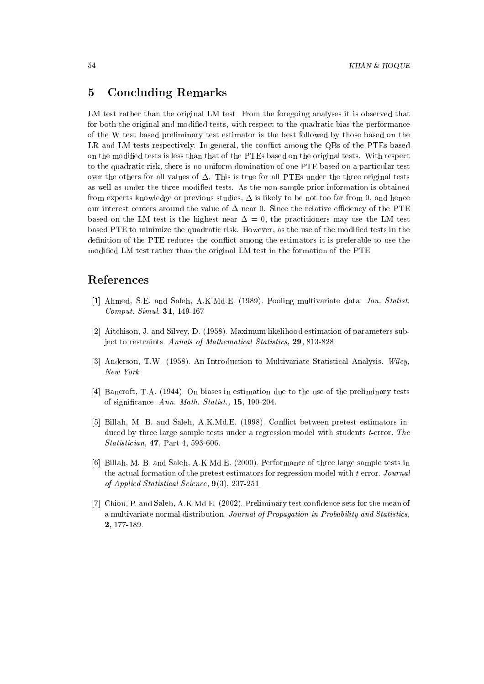## 5 Concluding Remarks

LM test rather than the original LM test From the foregoing analyses it is observed that for both the original and modified tests, with respect to the quadratic bias the performance of the W test based preliminary test estimator is the best followed by those based on the LR and LM tests respectively. In general, the conflict among the QBs of the PTEs based on the modied tests is less than that of the PTEs based on the original tests. With respect to the quadratic risk, there is no uniform domination of one PTE based on a particular test over the others for all values of  $\Delta$ . This is true for all PTEs under the three original tests as well as under the three modified tests. As the non-sample prior information is obtained from experts knowledge or previous studies,  $\Delta$  is likely to be not too far from 0, and hence our interest centers around the value of  $\Delta$  near 0. Since the relative efficiency of the PTE based on the LM test is the highest near  $\Delta = 0$ , the practitioners may use the LM test based PTE to minimize the quadratic risk. However, as the use of the modied tests in the definition of the PTE reduces the conflict among the estimators it is preferable to use the modied LM test rather than the original LM test in the formation of the PTE.

## References

- [1] Ahmed, S.E. and Saleh, A.K.Md.E. (1989). Pooling multivariate data. Jou. Statist. Comput. Simul. 31, 149-167
- [2] Aitchison, J. and Silvey, D. (1958). Maximum likelihood estimation of parameters subject to restraints. Annals of Mathematical Statistics, 29, 813-828.
- [3] Anderson, T.W. (1958). An Introduction to Multivariate Statistical Analysis. Wiley, New York.
- [4] Bancroft, T.A. (1944). On biases in estimation due to the use of the preliminary tests of signicance. Ann. Math. Statist., 15, 190-204.
- [5] Billah, M. B. and Saleh, A.K.Md.E. (1998). Conflict between pretest estimators induced by three large sample tests under a regression model with students t-error. The Statistician, 47, Part 4, 593-606.
- [6] Billah, M. B. and Saleh, A.K.Md.E. (2000). Performance of three large sample tests in the actual formation of the pretest estimators for regression model with t-error. Journal of Applied Statistical Science, 9(3), 237-251.
- [7] Chiou, P. and Saleh, A.K.Md.E. (2002). Preliminary test condence sets for the mean of a multivariate normal distribution. Journal of Propagation in Probability and Statistics, 2, 177-189.